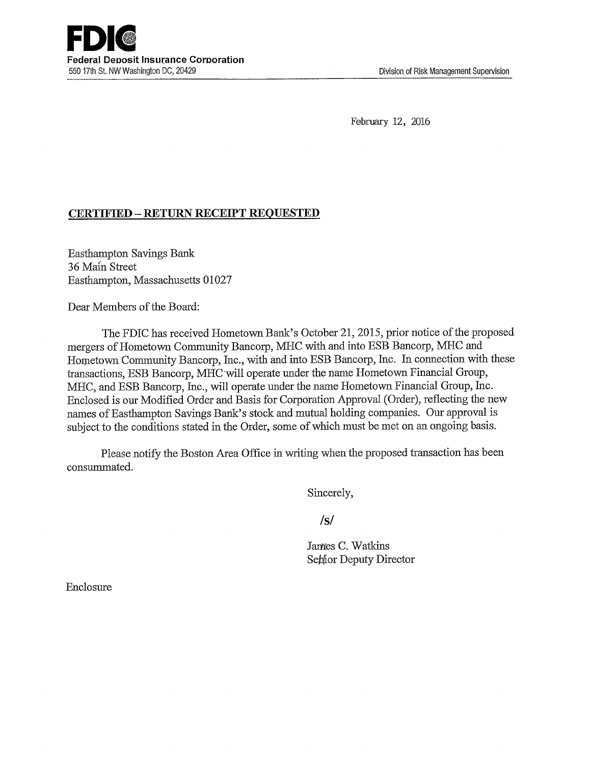February 12, 2016

## CERTIFIED - RETURN RECEIPT REQUESTED

Easthampton Savings Bank 36 Main Street Easthampton, Massachusetts 01027

Dear Members of the Board:

The FDIC has received Hometown Bank's Octobex 21, 2015, prior notice of the proposed mergers of Hometown Community Bancorp, MHC with and into ESB Bancorp, MHC and Hometown Community Bancorp, Inc., with and into ESB Bancorp, Inc. In connection with these transactions, ESB Bancorp, MHC will operate under the name Hometown Financial Group, MHC, and ESB Bancorp, Inc., will operate under the name Hometown Financial Group, Inc. Enclosed is our Modified Order and Basis for Corporation Approval (Order), reflecting the new names of Easthampton Savings Bank's stock and mutual holding companies. Our approval is subject to the conditions stated in the Order, some of which must be met on an ongoing basis.

Please notify the Boston Area Office in writing when the proposed transaction has been consummated.

Sincerely,

**/s/**

James C. Watkins Sehior Deputy Director

Enclosure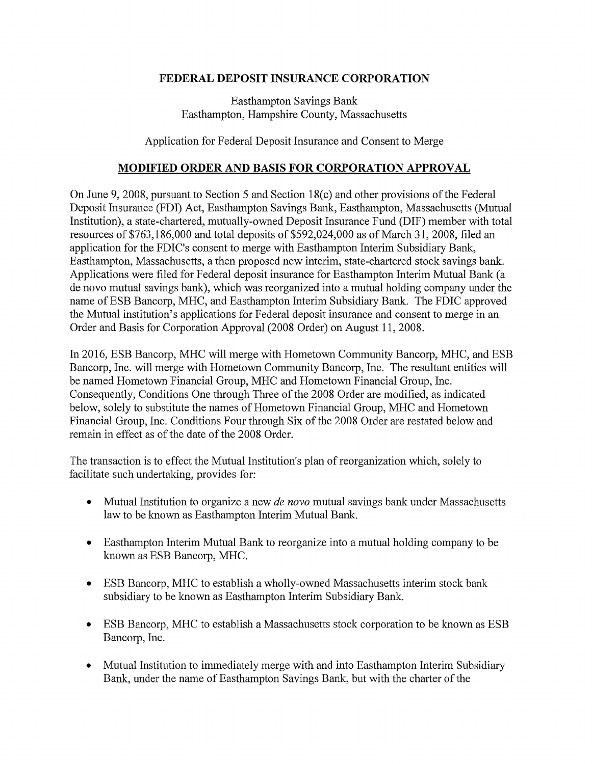## **FEDERAL DEPOSIT INSURANCE CORPORATION**

Easthampton Savings Bank Easthampton, Hampshire County, Massachusetts

Application for Federal Deposit Insurance and Consent to Merge

## **MODIFIED ORDER AND BASIS FOR CORPORATION APPROVAL**

On June 9, 2008, pursuant to Section 5 and Section 18(c) and other provisions of the Federal Deposit Insurance (FDI) Act, Easthampton Savings Bank, Easthampton, Massachusetts (Mutual Institution), a state-chartered, mutually-owned Deposit Insurance Fund (DIF) member with total resources of  $$763,186,000$  and total deposits of  $$592,024,000$  as of March 31, 2008, filed an application for the FDIC's consent to merge with Easthampton Interim Subsidiary Bank, Easthampton, Massachusetts, a then proposed new interim, state-chartered stock savings bank. Applications were filed for Federal deposit insurance for Easthampton Interim Mutual Bank (a de novo mutual savings bank), which was reorganized into a mutual holding company under the name ofESB Bancorp, MHC, and Easthampton Interim Subsidiary Bank. The FDIC approved the Mutual institution's applications for Federal deposit insurance and consent to merge in an Order and Basis for Corporation Approval (2008 Order) on August 11, 2008.

In 2016, ESB Bancorp, MHC will merge with Hometown Community Bancorp, MHC, and ESB Bancorp, Inc. will merge with Hometown Community Bancorp, Inc. The resultant entities will be named Hometown Financial Group, MHC and Hometown Financial Group, Inc. Consequently, Conditions One through Three of the 2008 Order are modified, as indicated below, solely to substitute the names of Hometown Financial Group, MHC and Hometown Financial Group, Inc. Conditions Four through Six of the 2008 Order are restated below and remain in effect as of the date of the 2008 Order.

The transaction is to effect the Mutual Institution's plan of reorganization which, solely to facilitate such undertaking, provides for:

- Mutual Institution to organize a new *de novo* mutual savings bank under Massachusetts law to be known as Easthampton Interim Mutual Bank.
- Easthampton Interim Mutual Bank to reorganize into a mutual holding company to be known as ESB Bancorp, MHC.
- ESB Bancorp, MHC to establish a wholly-owned Massachusetts interim stock bank subsidiary to be known as Easthampton Interim Subsidiary Bank.
- ESB Bancorp, MHC to establish a Massachusetts stock corporation to be known as ESB Bancorp, Inc.
- Mutual Institution to immediately merge with and into Easthampton Interim Subsidiary Bank, under the name of Easthampton Savings Bank, but with the charter of the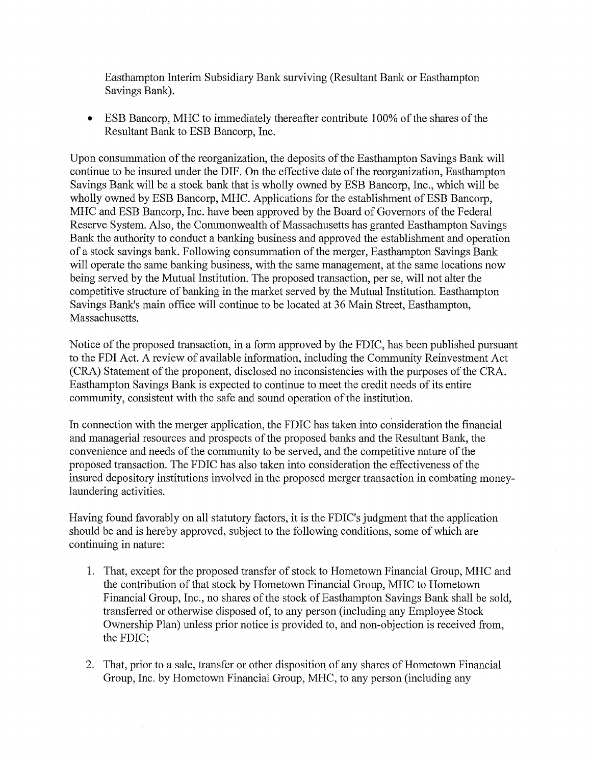Easthampton Interim Subsidiary Bank surviving (Resultant Bank or Easthampton Savings Bank).

ESB Bancorp, MHC to immediately thereafter contribute 100% of the shares of the Resultant Bank to ESB Bancorp, Inc.

Upon consummation of the reorganization, the deposits of the Easthampton Savings Bank will continue to be insured under the DIF. On the effective date of the reorganization, Easthampton Savings Bank will be a stock bank that is wholly owned by ESB Bancorp, Inc., which will be wholly owned by ESB Bancorp, MHC. Applications for the establishment of ESB Bancorp, MHC and ESB Bancorp, Inc. have been approved by the Board of Governors of the Federal Reserve System. Also, the Commonwealth of Massachusetts has granted Easthampton Savings Bank the authority to conduct a banking business and approved the establishment and operation of a stock savings bank. Following consummation of the merger, Easthampton Savings Bank will operate the same banking business, with the same management, at the same locations now being served by the Mutual Institution. The proposed transaction, per se, will not alter the competitive structure of banking in the market served by the Mutual Institution. Easthampton Savings Bank's main office will continue to be located at 36 Main Street, Easthampton, Massachusetts.

Notice of the proposed transaction, in a form approved by the FDIC, has been published pursuant to the FDI Act. A review of available information, including the Community Reinvestment Act (CRA) Statement of the proponent, disclosed no inconsistencies with the purposes of the CRA. Easthampton Savings Bank is expected to continue to meet the credit needs of its entire community, consistent with the safe and sound operation of the institution.

In connection with the merger application, the FDIC has taken into consideration the financial and managerial resources and prospects of the proposed banks and the Resultant Bank, the convenience and needs of the community to be served, and the competitive nature of the proposed transaction. The FDIC has also taken into consideration the effectiveness of the insured depository institutions involved in the proposed merger transaction in combating moneylaundering activities.

Having found favorably on all statutory factors, it is the FDIC's judgment that the application should be and is hereby approved, subject to the following conditions, some of which are continuing in nature:

- 1. That, except for the proposed transfer of stock to Hometown Financial Group, MHC and the contribution of that stock by Hometown Financial Group, MHC to Hometown Financial Group, Inc., no shares of the stock of Easthampton Savings Bank shall be sold, transfened or otherwise disposed of, to any person (including any Employee Stock Ownership Plan) unless prior notice is provided to, and non-objection is received from, the FDIC;
- 2. That, prior to a sale, transfer or other disposition of any shares of Hometown Financial Group, Inc. by Hometown Financial Group, MHC, to any person (including any